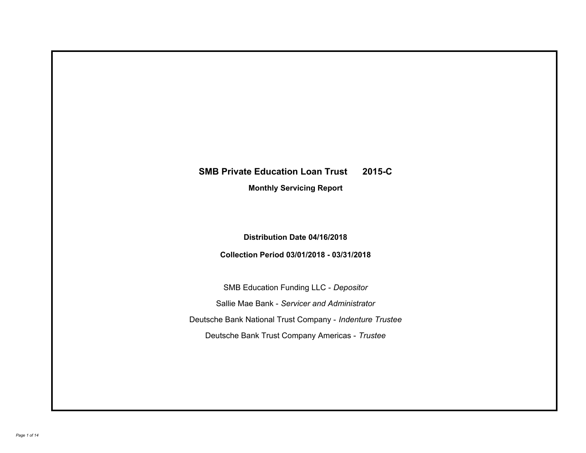# **SMB Private Education Loan Trust 2015-C**

**Monthly Servicing Report**

**Distribution Date 04/16/2018**

**Collection Period 03/01/2018 - 03/31/2018**

SMB Education Funding LLC - *Depositor* Sallie Mae Bank - *Servicer and Administrator* Deutsche Bank National Trust Company - *Indenture Trustee* Deutsche Bank Trust Company Americas - *Trustee*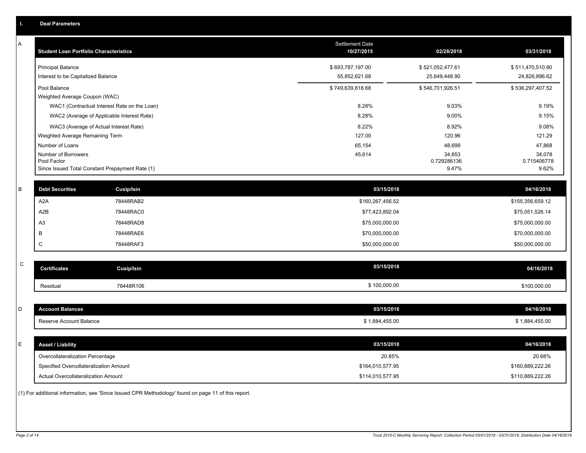| ь. | Deal Parameters |  |
|----|-----------------|--|
|    |                 |  |

A

| <b>Student Loan Portfolio Characteristics</b>                                         | <b>Settlement Date</b><br>10/27/2015 | 02/28/2018                        | 03/31/2018                        |
|---------------------------------------------------------------------------------------|--------------------------------------|-----------------------------------|-----------------------------------|
| <b>Principal Balance</b><br>Interest to be Capitalized Balance                        | \$693,787,197.00<br>55,852,621.68    | \$521,052,477.61<br>25,649,448.90 | \$511,470,510.90<br>24,826,896.62 |
| Pool Balance                                                                          | \$749,639,818.68                     | \$546,701,926.51                  | \$536,297,407.52                  |
| Weighted Average Coupon (WAC)<br>WAC1 (Contractual Interest Rate on the Loan)         | 8.28%                                | 9.03%                             | 9.19%                             |
| WAC2 (Average of Applicable Interest Rate)                                            | 8.28%                                | 9.00%                             | 9.15%                             |
| WAC3 (Average of Actual Interest Rate)                                                | 8.22%                                | 8.92%                             | 9.08%                             |
| Weighted Average Remaining Term                                                       | 127.00                               | 120.96                            | 121.29                            |
| Number of Loans                                                                       | 65,154                               | 48,699                            | 47,868                            |
| Number of Borrowers<br>Pool Factor<br>Since Issued Total Constant Prepayment Rate (1) | 45,614                               | 34,653<br>0.729286136<br>9.47%    | 34,078<br>0.715406778<br>9.62%    |

| <b>Debt Securities</b> | <b>Cusip/Isin</b> | 03/15/2018       | 04/16/2018       |
|------------------------|-------------------|------------------|------------------|
| A <sub>2</sub> A       | 78448RAB2         | \$160,267,456.52 | \$155,356,659.12 |
| A2B                    | 78448RAC0         | \$77,423,892.04  | \$75,051,526.14  |
| A <sub>3</sub>         | 78448RAD8         | \$75,000,000.00  | \$75,000,000.00  |
|                        | 78448RAE6         | \$70,000,000.00  | \$70,000,000.00  |
|                        | 78448RAF3         | \$50,000,000.00  | \$50,000,000.00  |

| $\sim$<br>◡ | <b>Certificates</b> | Cusip/Isin | 03/15/2018   | 04/16/2018   |
|-------------|---------------------|------------|--------------|--------------|
|             | Residual            | 78448R106  | \$100,000.00 | \$100,000.00 |

| D | <b>Account Balances</b>  | 03/15/2018     | 04/16/2018     |
|---|--------------------------|----------------|----------------|
|   | Reserve Account Balance  | \$1,884,455.00 | \$1,884,455.00 |
|   |                          |                |                |
| - | <b>Asset / Liability</b> | 03/15/2018     | 04/16/2018     |
|   | $\sim$                   | -------        | .              |

| Overcollateralization Percentage       | 20.85%           | 20.68%           |
|----------------------------------------|------------------|------------------|
| Specified Overcollateralization Amount | \$164,010,577.95 | \$160.889.222.26 |
| Actual Overcollateralization Amount    | \$114,010,577.95 | \$110.889.222.26 |

(1) For additional information, see 'Since Issued CPR Methodology' found on page 11 of this report.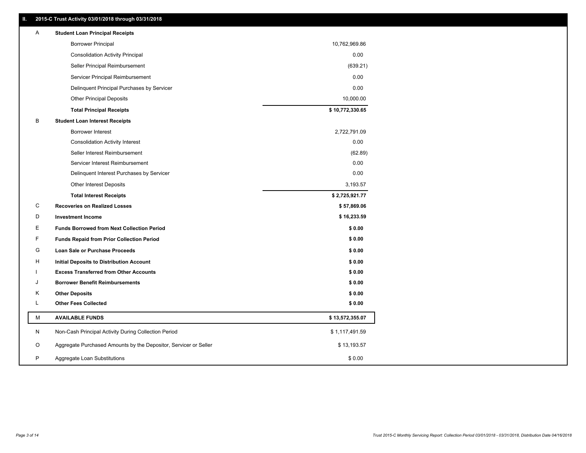| Ш. | 2015-C Trust Activity 03/01/2018 through 03/31/2018              |                 |
|----|------------------------------------------------------------------|-----------------|
| A  | <b>Student Loan Principal Receipts</b>                           |                 |
|    | <b>Borrower Principal</b>                                        | 10,762,969.86   |
|    | <b>Consolidation Activity Principal</b>                          | 0.00            |
|    | Seller Principal Reimbursement                                   | (639.21)        |
|    | Servicer Principal Reimbursement                                 | 0.00            |
|    | Delinquent Principal Purchases by Servicer                       | 0.00            |
|    | <b>Other Principal Deposits</b>                                  | 10,000.00       |
|    | <b>Total Principal Receipts</b>                                  | \$10,772,330.65 |
| в  | <b>Student Loan Interest Receipts</b>                            |                 |
|    | <b>Borrower Interest</b>                                         | 2,722,791.09    |
|    | <b>Consolidation Activity Interest</b>                           | 0.00            |
|    | Seller Interest Reimbursement                                    | (62.89)         |
|    | Servicer Interest Reimbursement                                  | 0.00            |
|    | Delinquent Interest Purchases by Servicer                        | 0.00            |
|    | <b>Other Interest Deposits</b>                                   | 3,193.57        |
|    | <b>Total Interest Receipts</b>                                   | \$2,725,921.77  |
| С  | <b>Recoveries on Realized Losses</b>                             | \$57,869.06     |
| D  | <b>Investment Income</b>                                         | \$16,233.59     |
| Ε  | <b>Funds Borrowed from Next Collection Period</b>                | \$0.00          |
| F  | <b>Funds Repaid from Prior Collection Period</b>                 | \$0.00          |
| G  | Loan Sale or Purchase Proceeds                                   | \$0.00          |
| н  | Initial Deposits to Distribution Account                         | \$0.00          |
|    | <b>Excess Transferred from Other Accounts</b>                    | \$0.00          |
| J  | <b>Borrower Benefit Reimbursements</b>                           | \$0.00          |
| Κ  | <b>Other Deposits</b>                                            | \$0.00          |
| L  | <b>Other Fees Collected</b>                                      | \$0.00          |
| М  | <b>AVAILABLE FUNDS</b>                                           | \$13,572,355.07 |
| N  | Non-Cash Principal Activity During Collection Period             | \$1,117,491.59  |
| O  | Aggregate Purchased Amounts by the Depositor, Servicer or Seller | \$13,193.57     |
| P  | Aggregate Loan Substitutions                                     | \$0.00          |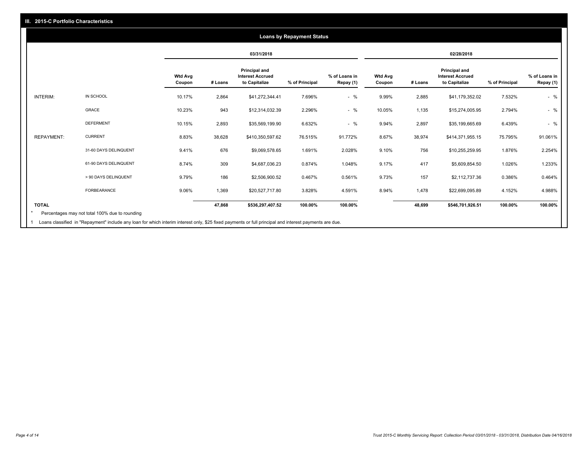### **03/31/2018 02/28/2018 Wtd Avg Coupon # Loans Principal and Interest Accrued to Capitalize % of Principal % of Loans in Repay (1) Wtd Avg Coupon # Loans Principal and Interest Accrued to Capitalize % of Principal % of Loans in Repay (1)**  INTERIM: IN SCHOOL 10.17% 2,864 \$41,272,344.41 7.696% - % 9.99% 2,885 \$41,179,352.02 7.532% - % GRACE 10.23% 943 \$12,314,032.39 2.296% - % 10.05% 1,135 \$15,274,005.95 2.794% - % DEFERMENT 10.15% 2,893 \$35,569,199.90 6.632% - % 9.94% 2,897 \$35,199,665.69 6.439% - % REPAYMENT: CURRENT 8.83% 38,628 \$410,350,597.62 76.515% 91.772% 8.67% 38,974 \$414,371,955.15 75.795% 91.061% 31-60 DAYS DELINQUENT 9.41% 676 \$9,069,578.65 1.691% 2.028% 9.10% 756 \$10,255,259.95 1.876% 2.254% 61-90 DAYS DELINQUENT 8.74% 309 \$4,687,036.23 0.874% 1.048% 9.17% 417 \$5,609,854.50 1.026% 1.233% > 90 DAYS DELINQUENT 9.79% 186 \$2,506,900.52 0.467% 0.561% 9.73% 157 \$2,112,737.36 0.386% 0.464% FORBEARANCE 9.06% 1,369 \$20,527,717.80 3.828% 4.591% 8.94% 1,478 \$22,699,095.89 4.152% 4.988% **TOTAL 47,868 \$536,297,407.52 100.00% 100.00% 48,699 \$546,701,926.51 100.00% 100.00% Loans by Repayment Status** Percentages may not total 100% due to rounding \*

Loans classified in "Repayment" include any loan for which interim interest only, \$25 fixed payments or full principal and interest payments are due. 1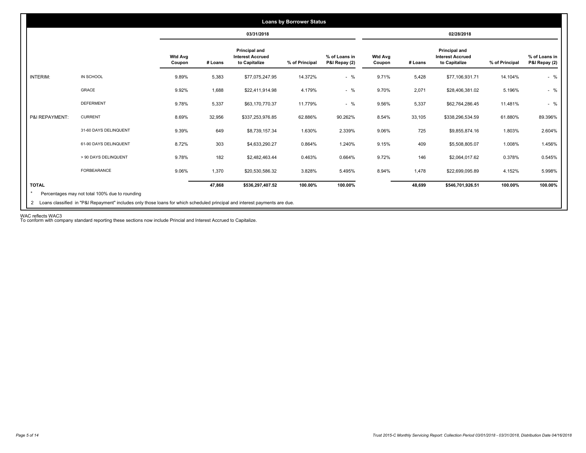|                 |                       |                          |         | 03/31/2018                                                       |                |                                |                          |         | 02/28/2018                                                |                |                                |
|-----------------|-----------------------|--------------------------|---------|------------------------------------------------------------------|----------------|--------------------------------|--------------------------|---------|-----------------------------------------------------------|----------------|--------------------------------|
|                 |                       | <b>Wtd Avg</b><br>Coupon | # Loans | <b>Principal and</b><br><b>Interest Accrued</b><br>to Capitalize | % of Principal | % of Loans in<br>P&I Repay (2) | <b>Wtd Avg</b><br>Coupon | # Loans | Principal and<br><b>Interest Accrued</b><br>to Capitalize | % of Principal | % of Loans in<br>P&I Repay (2) |
| <b>INTERIM:</b> | IN SCHOOL             | 9.89%                    | 5,383   | \$77,075,247.95                                                  | 14.372%        | $-$ %                          | 9.71%                    | 5,428   | \$77,106,931.71                                           | 14.104%        | $-$ %                          |
|                 | GRACE                 | 9.92%                    | 1,688   | \$22,411,914.98                                                  | 4.179%         | $-$ %                          | 9.70%                    | 2,071   | \$28,406,381.02                                           | 5.196%         | $-$ %                          |
|                 | <b>DEFERMENT</b>      | 9.78%                    | 5,337   | \$63,170,770.37                                                  | 11.779%        | $-$ %                          | 9.56%                    | 5,337   | \$62,764,286.45                                           | 11.481%        | $-$ %                          |
| P&I REPAYMENT:  | <b>CURRENT</b>        | 8.69%                    | 32,956  | \$337,253,976.85                                                 | 62.886%        | 90.262%                        | 8.54%                    | 33,105  | \$338,296,534.59                                          | 61.880%        | 89.396%                        |
|                 | 31-60 DAYS DELINQUENT | 9.39%                    | 649     | \$8,739,157.34                                                   | 1.630%         | 2.339%                         | 9.06%                    | 725     | \$9,855,874.16                                            | 1.803%         | 2.604%                         |
|                 | 61-90 DAYS DELINQUENT | 8.72%                    | 303     | \$4,633,290.27                                                   | 0.864%         | 1.240%                         | 9.15%                    | 409     | \$5,508,805.07                                            | 1.008%         | 1.456%                         |
|                 | > 90 DAYS DELINQUENT  | 9.78%                    | 182     | \$2,482,463.44                                                   | 0.463%         | 0.664%                         | 9.72%                    | 146     | \$2,064,017.62                                            | 0.378%         | 0.545%                         |
|                 | FORBEARANCE           | 9.06%                    | 1,370   | \$20,530,586.32                                                  | 3.828%         | 5.495%                         | 8.94%                    | 1.478   | \$22,699,095.89                                           | 4.152%         | 5.998%                         |
| <b>TOTAL</b>    |                       |                          | 47,868  | \$536,297,407.52                                                 | 100.00%        | 100.00%                        |                          | 48,699  | \$546,701,926.51                                          | 100.00%        | 100.00%                        |

WAC reflects WAC3 To conform with company standard reporting these sections now include Princial and Interest Accrued to Capitalize.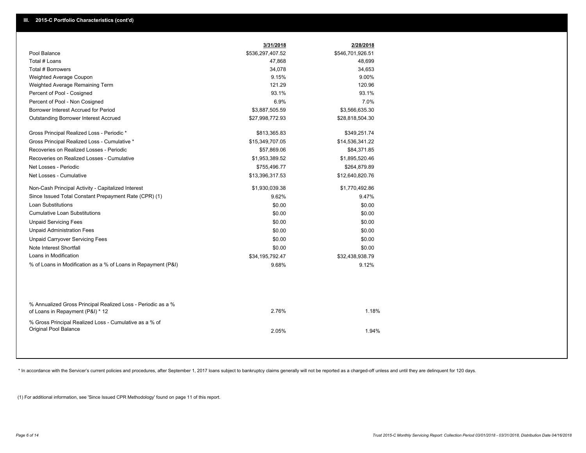|                                                                                                  | 3/31/2018        | 2/28/2018        |
|--------------------------------------------------------------------------------------------------|------------------|------------------|
| Pool Balance                                                                                     | \$536,297,407.52 | \$546,701,926.51 |
| Total # Loans                                                                                    | 47,868           | 48,699           |
| Total # Borrowers                                                                                | 34,078           | 34,653           |
| Weighted Average Coupon                                                                          | 9.15%            | 9.00%            |
| Weighted Average Remaining Term                                                                  | 121.29           | 120.96           |
| Percent of Pool - Cosigned                                                                       | 93.1%            | 93.1%            |
| Percent of Pool - Non Cosigned                                                                   | 6.9%             | 7.0%             |
| Borrower Interest Accrued for Period                                                             | \$3,887,505.59   | \$3,566,635.30   |
| <b>Outstanding Borrower Interest Accrued</b>                                                     | \$27,998,772.93  | \$28,818,504.30  |
| Gross Principal Realized Loss - Periodic *                                                       | \$813,365.83     | \$349,251.74     |
| Gross Principal Realized Loss - Cumulative *                                                     | \$15,349,707.05  | \$14,536,341.22  |
| Recoveries on Realized Losses - Periodic                                                         | \$57,869.06      | \$84,371.85      |
| Recoveries on Realized Losses - Cumulative                                                       | \$1,953,389.52   | \$1,895,520.46   |
| Net Losses - Periodic                                                                            | \$755,496.77     | \$264,879.89     |
| Net Losses - Cumulative                                                                          | \$13,396,317.53  | \$12,640,820.76  |
| Non-Cash Principal Activity - Capitalized Interest                                               | \$1,930,039.38   | \$1,770,492.86   |
| Since Issued Total Constant Prepayment Rate (CPR) (1)                                            | 9.62%            | 9.47%            |
| <b>Loan Substitutions</b>                                                                        | \$0.00           | \$0.00           |
| <b>Cumulative Loan Substitutions</b>                                                             | \$0.00           | \$0.00           |
| <b>Unpaid Servicing Fees</b>                                                                     | \$0.00           | \$0.00           |
| <b>Unpaid Administration Fees</b>                                                                | \$0.00           | \$0.00           |
| <b>Unpaid Carryover Servicing Fees</b>                                                           | \$0.00           | \$0.00           |
| Note Interest Shortfall                                                                          | \$0.00           | \$0.00           |
| Loans in Modification                                                                            | \$34,195,792.47  | \$32,438,938.79  |
| % of Loans in Modification as a % of Loans in Repayment (P&I)                                    | 9.68%            | 9.12%            |
|                                                                                                  |                  |                  |
| % Annualized Gross Principal Realized Loss - Periodic as a %<br>of Loans in Repayment (P&I) * 12 | 2.76%            | 1.18%            |
| % Gross Principal Realized Loss - Cumulative as a % of<br>Original Pool Balance                  | 2.05%            | 1.94%            |

\* In accordance with the Servicer's current policies and procedures, after September 1, 2017 loans subject to bankruptcy claims generally will not be reported as a charged-off unless and until they are delinquent for 120 d

(1) For additional information, see 'Since Issued CPR Methodology' found on page 11 of this report.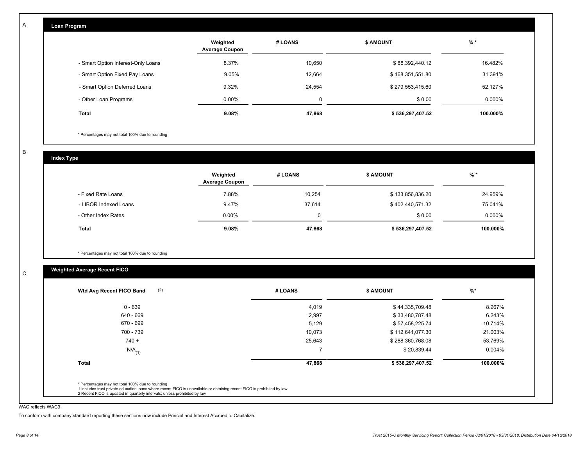| Loan Program                       |                                   |         |                  |          |
|------------------------------------|-----------------------------------|---------|------------------|----------|
|                                    | Weighted<br><b>Average Coupon</b> | # LOANS | <b>\$ AMOUNT</b> | $%$ *    |
| - Smart Option Interest-Only Loans | 8.37%                             | 10,650  | \$88,392,440.12  | 16.482%  |
| - Smart Option Fixed Pay Loans     | $9.05\%$                          | 12,664  | \$168,351,551.80 | 31.391%  |
| - Smart Option Deferred Loans      | 9.32%                             | 24,554  | \$279,553,415.60 | 52.127%  |
| - Other Loan Programs              | $0.00\%$                          | 0       | \$0.00           | 0.000%   |
| Total                              | 9.08%                             | 47,868  | \$536,297,407.52 | 100.000% |

\* Percentages may not total 100% due to rounding

B

C

A

| <b>Index Type</b>     |                                   |         |                  |          |
|-----------------------|-----------------------------------|---------|------------------|----------|
|                       | Weighted<br><b>Average Coupon</b> | # LOANS | <b>\$ AMOUNT</b> | $%$ *    |
| - Fixed Rate Loans    | 7.88%                             | 10,254  | \$133,856,836.20 | 24.959%  |
| - LIBOR Indexed Loans | 9.47%                             | 37,614  | \$402,440,571.32 | 75.041%  |
| - Other Index Rates   | $0.00\%$                          | 0       | \$0.00           | 0.000%   |
| <b>Total</b>          | 9.08%                             | 47,868  | \$536,297,407.52 | 100.000% |

\* Percentages may not total 100% due to rounding

# **Weighted Average Recent FICO**

| $0 - 639$            | 4,019  | \$44,335,709.48  | 8.267%    |
|----------------------|--------|------------------|-----------|
| 640 - 669            | 2,997  | \$33,480,787.48  | 6.243%    |
| 670 - 699            | 5,129  | \$57,458,225.74  | 10.714%   |
| 700 - 739            | 10,073 | \$112,641,077.30 | 21.003%   |
| $740 +$              | 25,643 | \$288,360,768.08 | 53.769%   |
| $N/A$ <sub>(1)</sub> |        | \$20,839.44      | $0.004\%$ |
| <b>Total</b>         | 47,868 | \$536,297,407.52 | 100.000%  |

#### WAC reflects WAC3

To conform with company standard reporting these sections now include Princial and Interest Accrued to Capitalize.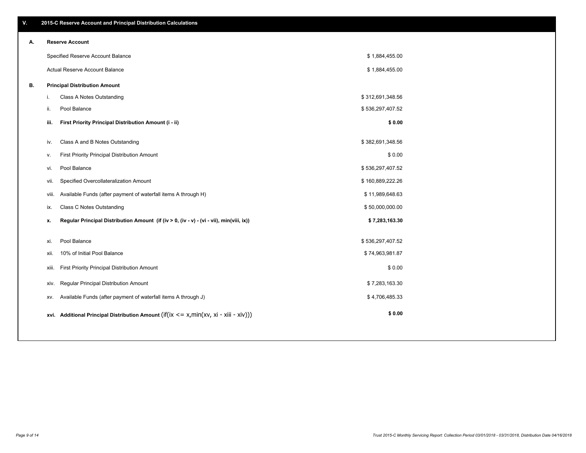| А. |       | <b>Reserve Account</b>                                                                     |                  |  |
|----|-------|--------------------------------------------------------------------------------------------|------------------|--|
|    |       | Specified Reserve Account Balance                                                          | \$1,884,455.00   |  |
|    |       | Actual Reserve Account Balance                                                             | \$1,884,455.00   |  |
| В. |       | <b>Principal Distribution Amount</b>                                                       |                  |  |
|    | i.    | Class A Notes Outstanding                                                                  | \$312,691,348.56 |  |
|    | ii.   | Pool Balance                                                                               | \$536,297,407.52 |  |
|    | iii.  | First Priority Principal Distribution Amount (i - ii)                                      | \$0.00           |  |
|    | iv.   | Class A and B Notes Outstanding                                                            | \$382,691,348.56 |  |
|    | ۷.    | First Priority Principal Distribution Amount                                               | \$0.00           |  |
|    | vi.   | Pool Balance                                                                               | \$536,297,407.52 |  |
|    | vii.  | Specified Overcollateralization Amount                                                     | \$160,889,222.26 |  |
|    | viii. | Available Funds (after payment of waterfall items A through H)                             | \$11,989,648.63  |  |
|    | ix.   | Class C Notes Outstanding                                                                  | \$50,000,000.00  |  |
|    | х.    | Regular Principal Distribution Amount (if (iv > 0, (iv - v) - (vi - vii), min(viii, ix))   | \$7,283,163.30   |  |
|    | xi.   | Pool Balance                                                                               | \$536,297,407.52 |  |
|    | xii.  | 10% of Initial Pool Balance                                                                | \$74,963,981.87  |  |
|    | XIII. | First Priority Principal Distribution Amount                                               | \$0.00           |  |
|    | xiv.  | Regular Principal Distribution Amount                                                      | \$7,283,163.30   |  |
|    | XV.   | Available Funds (after payment of waterfall items A through J)                             | \$4,706,485.33   |  |
|    |       | xvi. Additional Principal Distribution Amount (if(ix $\lt$ = x, min(xv, xi - xiii - xiv))) | \$0.00           |  |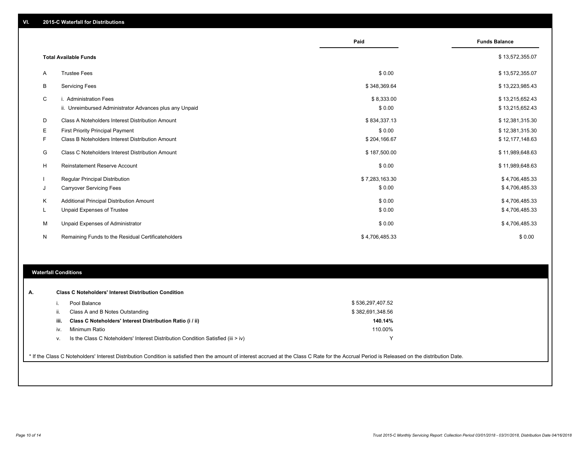|                              |                                                         | Paid           | <b>Funds Balance</b> |
|------------------------------|---------------------------------------------------------|----------------|----------------------|
| <b>Total Available Funds</b> | \$13,572,355.07                                         |                |                      |
| A                            | <b>Trustee Fees</b>                                     | \$0.00         | \$13,572,355.07      |
| В                            | <b>Servicing Fees</b>                                   | \$348,369.64   | \$13,223,985.43      |
| C                            | i. Administration Fees                                  | \$8,333.00     | \$13,215,652.43      |
|                              | ii. Unreimbursed Administrator Advances plus any Unpaid | \$0.00         | \$13,215,652.43      |
| D                            | Class A Noteholders Interest Distribution Amount        | \$834,337.13   | \$12,381,315.30      |
| Е                            | <b>First Priority Principal Payment</b>                 | \$0.00         | \$12,381,315.30      |
| F.                           | Class B Noteholders Interest Distribution Amount        | \$204,166.67   | \$12,177,148.63      |
| G                            | Class C Noteholders Interest Distribution Amount        | \$187,500.00   | \$11,989,648.63      |
| Н                            | <b>Reinstatement Reserve Account</b>                    | \$0.00         | \$11,989,648.63      |
|                              | <b>Regular Principal Distribution</b>                   | \$7,283,163.30 | \$4,706,485.33       |
| J                            | <b>Carryover Servicing Fees</b>                         | \$0.00         | \$4,706,485.33       |
| Κ                            | Additional Principal Distribution Amount                | \$0.00         | \$4,706,485.33       |
| L                            | Unpaid Expenses of Trustee                              | \$0.00         | \$4,706,485.33       |
| M                            | Unpaid Expenses of Administrator                        | \$0.00         | \$4,706,485.33       |
| N                            | Remaining Funds to the Residual Certificateholders      | \$4,706,485.33 | \$0.00               |

### **Waterfall Conditions**

| А. |      | <b>Class C Noteholders' Interest Distribution Condition</b>                      |                  |  |
|----|------|----------------------------------------------------------------------------------|------------------|--|
|    |      | Pool Balance                                                                     | \$536,297,407.52 |  |
|    | ii.  | Class A and B Notes Outstanding                                                  | \$382,691,348.56 |  |
|    | iii. | Class C Noteholders' Interest Distribution Ratio (i / ii)                        | 140.14%          |  |
|    | IV.  | Minimum Ratio                                                                    | 110.00%          |  |
|    | v.   | Is the Class C Noteholders' Interest Distribution Condition Satisfied (iii > iv) |                  |  |

\* If the Class C Noteholders' Interest Distribution Condition is satisfied then the amount of interest accrued at the Class C Rate for the Accrual Period is Released on the distribution Date.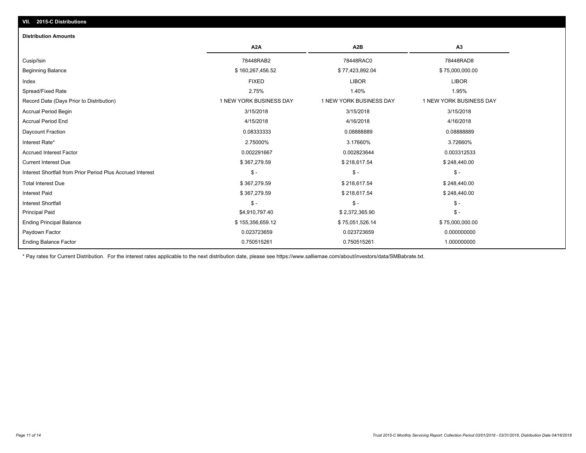# **VII. 2015-C Distributions**

#### **Distribution Amounts**

|                                                            | A <sub>2</sub> A        | A <sub>2</sub> B        | A <sub>3</sub>          |
|------------------------------------------------------------|-------------------------|-------------------------|-------------------------|
| Cusip/Isin                                                 | 78448RAB2               | 78448RAC0               | 78448RAD8               |
| <b>Beginning Balance</b>                                   | \$160,267,456.52        | \$77,423,892.04         | \$75,000,000.00         |
| Index                                                      | <b>FIXED</b>            | <b>LIBOR</b>            | <b>LIBOR</b>            |
| Spread/Fixed Rate                                          | 2.75%                   | 1.40%                   | 1.95%                   |
| Record Date (Days Prior to Distribution)                   | 1 NEW YORK BUSINESS DAY | 1 NEW YORK BUSINESS DAY | 1 NEW YORK BUSINESS DAY |
| <b>Accrual Period Begin</b>                                | 3/15/2018               | 3/15/2018               | 3/15/2018               |
| <b>Accrual Period End</b>                                  | 4/15/2018               | 4/16/2018               | 4/16/2018               |
| Daycount Fraction                                          | 0.08333333              | 0.08888889              | 0.0888889               |
| Interest Rate*                                             | 2.75000%                | 3.17660%                | 3.72660%                |
| <b>Accrued Interest Factor</b>                             | 0.002291667             | 0.002823644             | 0.003312533             |
| <b>Current Interest Due</b>                                | \$367,279.59            | \$218,617.54            | \$248,440.00            |
| Interest Shortfall from Prior Period Plus Accrued Interest | $S -$                   | $\mathsf{\$}$ -         | $\mathsf{\$}$ -         |
| <b>Total Interest Due</b>                                  | \$367,279.59            | \$218,617.54            | \$248,440.00            |
| <b>Interest Paid</b>                                       | \$367,279.59            | \$218,617.54            | \$248,440.00            |
| <b>Interest Shortfall</b>                                  | $\mathsf{\$}$ -         | \$ -                    | $\mathsf{\$}$ -         |
| <b>Principal Paid</b>                                      | \$4,910,797.40          | \$2,372,365.90          | $\mathsf{\$}$ -         |
| <b>Ending Principal Balance</b>                            | \$155,356,659.12        | \$75,051,526.14         | \$75,000,000.00         |
| Paydown Factor                                             | 0.023723659             | 0.023723659             | 0.000000000             |
| <b>Ending Balance Factor</b>                               | 0.750515261             | 0.750515261             | 1.000000000             |

\* Pay rates for Current Distribution. For the interest rates applicable to the next distribution date, please see https://www.salliemae.com/about/investors/data/SMBabrate.txt.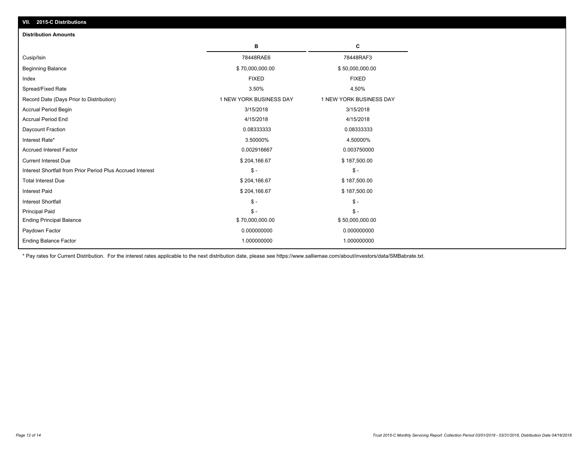| <b>Distribution Amounts</b>                                |                         |                         |
|------------------------------------------------------------|-------------------------|-------------------------|
|                                                            | в                       | C                       |
| Cusip/Isin                                                 | 78448RAE6               | 78448RAF3               |
| <b>Beginning Balance</b>                                   | \$70,000,000.00         | \$50,000,000.00         |
| Index                                                      | <b>FIXED</b>            | <b>FIXED</b>            |
| Spread/Fixed Rate                                          | 3.50%                   | 4.50%                   |
| Record Date (Days Prior to Distribution)                   | 1 NEW YORK BUSINESS DAY | 1 NEW YORK BUSINESS DAY |
| <b>Accrual Period Begin</b>                                | 3/15/2018               | 3/15/2018               |
| <b>Accrual Period End</b>                                  | 4/15/2018               | 4/15/2018               |
| Daycount Fraction                                          | 0.08333333              | 0.08333333              |
| Interest Rate*                                             | 3.50000%                | 4.50000%                |
| <b>Accrued Interest Factor</b>                             | 0.002916667             | 0.003750000             |
| <b>Current Interest Due</b>                                | \$204,166.67            | \$187,500.00            |
| Interest Shortfall from Prior Period Plus Accrued Interest | $$ -$                   | $\mathsf{\$}$ -         |
| <b>Total Interest Due</b>                                  | \$204,166.67            | \$187,500.00            |
| <b>Interest Paid</b>                                       | \$204,166.67            | \$187,500.00            |
| <b>Interest Shortfall</b>                                  | $S -$                   | $S -$                   |
| <b>Principal Paid</b>                                      | $S -$                   | $\mathsf{\$}$ -         |
| <b>Ending Principal Balance</b>                            | \$70,000,000.00         | \$50,000,000.00         |
| Paydown Factor                                             | 0.000000000             | 0.000000000             |
| <b>Ending Balance Factor</b>                               | 1.000000000             | 1.000000000             |

\* Pay rates for Current Distribution. For the interest rates applicable to the next distribution date, please see https://www.salliemae.com/about/investors/data/SMBabrate.txt.

**VII. 2015-C Distributions**